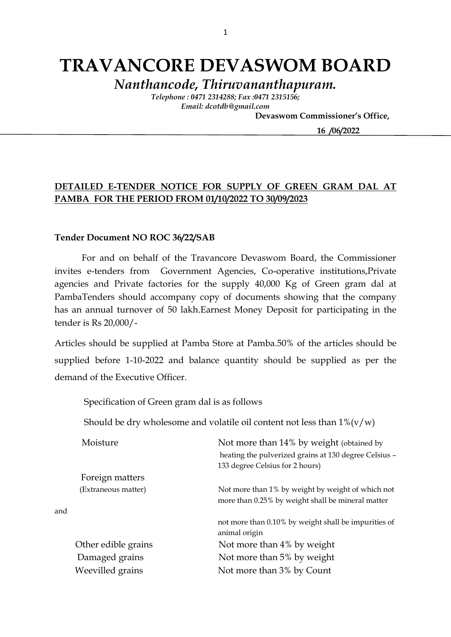# **TRAVANCORE DEVASWOM BOARD**

*Nanthancode, Thiruvananthapuram.*

*Telephone : 0471 2314288; Fax :0471 2315156; Email: dcotdb@gmail.com*

 **Devaswom Commissioner's Office,**

 **16 /06/2022**

### **DETAILED E-TENDER NOTICE FOR SUPPLY OF GREEN GRAM DAL AT PAMBA FOR THE PERIOD FROM 01/10/2022 TO 30/09/2023**

### **Tender Document NO ROC 36/22/SAB**

For and on behalf of the Travancore Devaswom Board, the Commissioner invites e-tenders from Government Agencies, Co-operative institutions,Private agencies and Private factories for the supply 40,000 Kg of Green gram dal at PambaTenders should accompany copy of documents showing that the company has an annual turnover of 50 lakh.Earnest Money Deposit for participating in the tender is Rs 20,000/-

Articles should be supplied at Pamba Store at Pamba.50% of the articles should be supplied before 1-10-2022 and balance quantity should be supplied as per the demand of the Executive Officer.

Specification of Green gram dal is as follows

Should be dry wholesome and volatile oil content not less than  $1\% (v/w)$ 

| Moisture            | Not more than 14% by weight (obtained by              |
|---------------------|-------------------------------------------------------|
|                     | heating the pulverized grains at 130 degree Celsius - |
|                     | 133 degree Celsius for 2 hours)                       |
| Foreign matters     |                                                       |
| (Extraneous matter) | Not more than 1% by weight by weight of which not     |
|                     | more than 0.25% by weight shall be mineral matter     |
| and                 |                                                       |
|                     | not more than 0.10% by weight shall be impurities of  |
|                     | animal origin                                         |
| Other edible grains | Not more than 4% by weight                            |
| Damaged grains      | Not more than 5% by weight                            |
| Weevilled grains    | Not more than 3% by Count                             |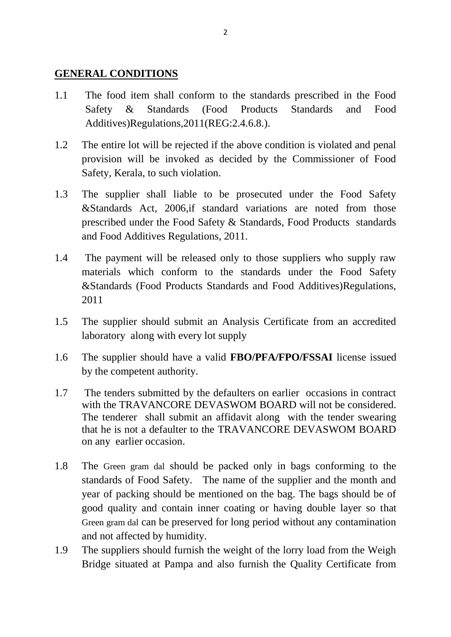### **GENERAL CONDITIONS**

- 1.1 The food item shall conform to the standards prescribed in the Food Safety & Standards (Food Products Standards and Food Additives)Regulations,2011(REG:2.4.6.8.).
- 1.2 The entire lot will be rejected if the above condition is violated and penal provision will be invoked as decided by the Commissioner of Food Safety, Kerala, to such violation.
- 1.3 The supplier shall liable to be prosecuted under the Food Safety &Standards Act, 2006,if standard variations are noted from those prescribed under the Food Safety & Standards, Food Products standards and Food Additives Regulations, 2011.
- 1.4 The payment will be released only to those suppliers who supply raw materials which conform to the standards under the Food Safety &Standards (Food Products Standards and Food Additives)Regulations, 2011
- 1.5 The supplier should submit an Analysis Certificate from an accredited laboratory along with every lot supply
- 1.6 The supplier should have a valid **FBO/PFA/FPO/FSSAI** license issued by the competent authority.
- 1.7 The tenders submitted by the defaulters on earlier occasions in contract with the TRAVANCORE DEVASWOM BOARD will not be considered. The tenderer shall submit an affidavit along with the tender swearing that he is not a defaulter to the TRAVANCORE DEVASWOM BOARD on any earlier occasion.
- 1.8 The Green gram dal should be packed only in bags conforming to the standards of Food Safety. The name of the supplier and the month and year of packing should be mentioned on the bag. The bags should be of good quality and contain inner coating or having double layer so that Green gram dal can be preserved for long period without any contamination and not affected by humidity.
- 1.9 The suppliers should furnish the weight of the lorry load from the Weigh Bridge situated at Pampa and also furnish the Quality Certificate from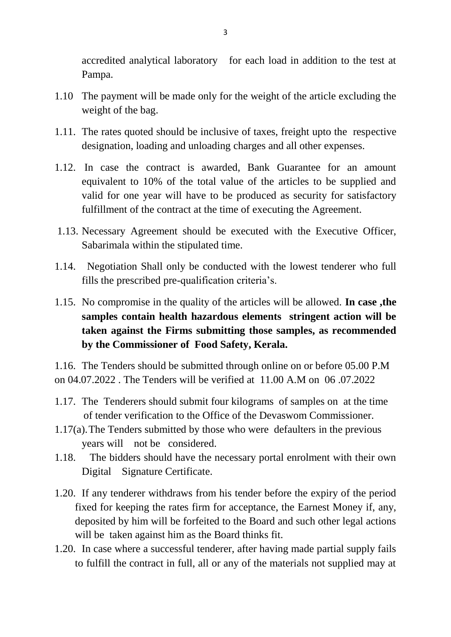accredited analytical laboratory for each load in addition to the test at Pampa.

- 1.10 The payment will be made only for the weight of the article excluding the weight of the bag.
- 1.11. The rates quoted should be inclusive of taxes, freight upto the respective designation, loading and unloading charges and all other expenses.
- 1.12. In case the contract is awarded, Bank Guarantee for an amount equivalent to 10% of the total value of the articles to be supplied and valid for one year will have to be produced as security for satisfactory fulfillment of the contract at the time of executing the Agreement.
- 1.13. Necessary Agreement should be executed with the Executive Officer, Sabarimala within the stipulated time.
- 1.14. Negotiation Shall only be conducted with the lowest tenderer who full fills the prescribed pre-qualification criteria's.
- 1.15. No compromise in the quality of the articles will be allowed. **In case ,the samples contain health hazardous elements stringent action will be taken against the Firms submitting those samples, as recommended by the Commissioner of Food Safety, Kerala.**

1.16. The Tenders should be submitted through online on or before 05.00 P.M on 04.07.2022 . The Tenders will be verified at 11.00 A.M on 06 .07.2022

- 1.17. The Tenderers should submit four kilograms of samples on at the time of tender verification to the Office of the Devaswom Commissioner.
- 1.17(a).The Tenders submitted by those who were defaulters in the previous years will not be considered.
- 1.18. The bidders should have the necessary portal enrolment with their own Digital Signature Certificate.
- 1.20. If any tenderer withdraws from his tender before the expiry of the period fixed for keeping the rates firm for acceptance, the Earnest Money if, any, deposited by him will be forfeited to the Board and such other legal actions will be taken against him as the Board thinks fit.
- 1.20. In case where a successful tenderer, after having made partial supply fails to fulfill the contract in full, all or any of the materials not supplied may at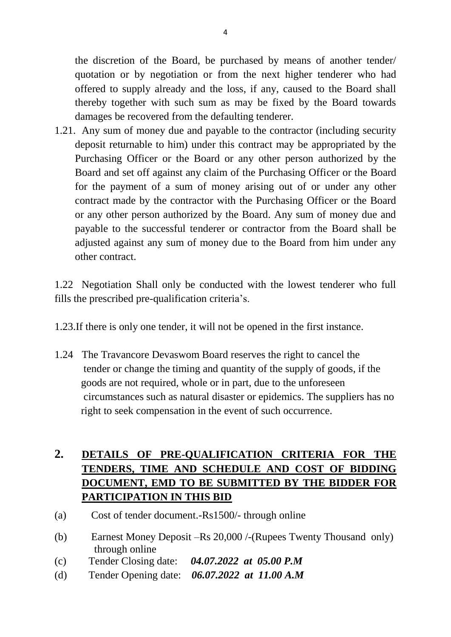the discretion of the Board, be purchased by means of another tender/ quotation or by negotiation or from the next higher tenderer who had offered to supply already and the loss, if any, caused to the Board shall thereby together with such sum as may be fixed by the Board towards damages be recovered from the defaulting tenderer.

1.21. Any sum of money due and payable to the contractor (including security deposit returnable to him) under this contract may be appropriated by the Purchasing Officer or the Board or any other person authorized by the Board and set off against any claim of the Purchasing Officer or the Board for the payment of a sum of money arising out of or under any other contract made by the contractor with the Purchasing Officer or the Board or any other person authorized by the Board. Any sum of money due and payable to the successful tenderer or contractor from the Board shall be adjusted against any sum of money due to the Board from him under any other contract.

1.22 Negotiation Shall only be conducted with the lowest tenderer who full fills the prescribed pre-qualification criteria's.

1.23.If there is only one tender, it will not be opened in the first instance.

1.24 The Travancore Devaswom Board reserves the right to cancel the tender or change the timing and quantity of the supply of goods, if the goods are not required, whole or in part, due to the unforeseen circumstances such as natural disaster or epidemics. The suppliers has no right to seek compensation in the event of such occurrence.

# **2. DETAILS OF PRE-QUALIFICATION CRITERIA FOR THE TENDERS, TIME AND SCHEDULE AND COST OF BIDDING DOCUMENT, EMD TO BE SUBMITTED BY THE BIDDER FOR PARTICIPATION IN THIS BID**

- (a) Cost of tender document.-Rs1500/- through online
- (b) Earnest Money Deposit –Rs 20,000 /-(Rupees Twenty Thousand only) through online
- (c) Tender Closing date: *04.07.2022 at 05.00 P.M*
- (d) Tender Opening date: *06.07.2022 at 11.00 A.M*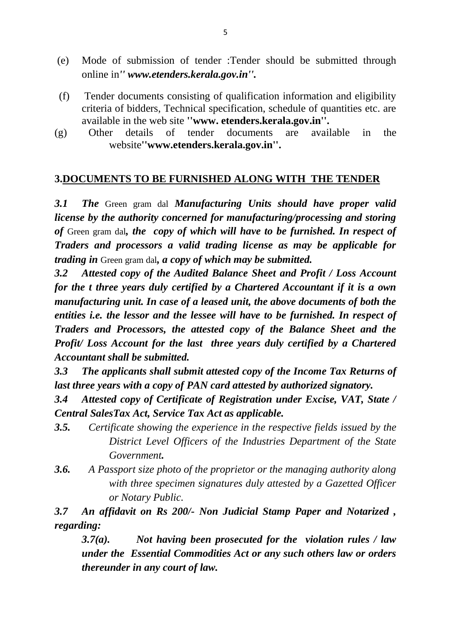- (e) Mode of submission of tender :Tender should be submitted through online in*'' www.etenders.kerala.gov.in''.*
- (f) Tender documents consisting of qualification information and eligibility criteria of bidders, Technical specification, schedule of quantities etc. are available in the web site **''www. etenders.kerala.gov.in''.**
- (g) Other details of tender documents are available in the website**''www.etenders.kerala.gov.in''.**

# **3.DOCUMENTS TO BE FURNISHED ALONG WITH THE TENDER**

*3.1 The* Green gram dal *Manufacturing Units should have proper valid license by the authority concerned for manufacturing/processing and storing of* Green gram dal*, the copy of which will have to be furnished. In respect of Traders and processors a valid trading license as may be applicable for trading in* Green gram dal*, a copy of which may be submitted.*

*3.2 Attested copy of the Audited Balance Sheet and Profit / Loss Account for the t three years duly certified by a Chartered Accountant if it is a own manufacturing unit. In case of a leased unit, the above documents of both the entities i.e. the lessor and the lessee will have to be furnished. In respect of Traders and Processors, the attested copy of the Balance Sheet and the Profit/ Loss Account for the last three years duly certified by a Chartered Accountant shall be submitted.*

*3.3 The applicants shall submit attested copy of the Income Tax Returns of last three years with a copy of PAN card attested by authorized signatory.*

*3.4 Attested copy of Certificate of Registration under Excise, VAT, State / Central SalesTax Act, Service Tax Act as applicable.*

- *3.5. Certificate showing the experience in the respective fields issued by the District Level Officers of the Industries Department of the State Government.*
- *3.6. A Passport size photo of the proprietor or the managing authority along with three specimen signatures duly attested by a Gazetted Officer or Notary Public.*

*3.7 An affidavit on Rs 200/- Non Judicial Stamp Paper and Notarized , regarding:*

*3.7(a). Not having been prosecuted for the violation rules / law under the Essential Commodities Act or any such others law or orders thereunder in any court of law.*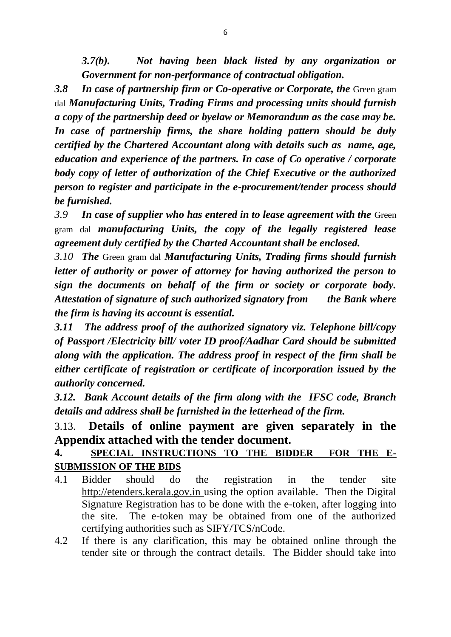*3.7(b). Not having been black listed by any organization or Government for non-performance of contractual obligation.*

**3.8 In case of partnership firm or Co-operative or Corporate, the Green gram** dal *Manufacturing Units, Trading Firms and processing units should furnish a copy of the partnership deed or byelaw or Memorandum as the case may be. In case of partnership firms, the share holding pattern should be duly certified by the Chartered Accountant along with details such as name, age, education and experience of the partners. In case of Co operative / corporate body copy of letter of authorization of the Chief Executive or the authorized person to register and participate in the e-procurement/tender process should be furnished.*

*3.9 In case of supplier who has entered in to lease agreement with the* Green gram dal *manufacturing Units, the copy of the legally registered lease agreement duly certified by the Charted Accountant shall be enclosed.*

*3.10 The* Green gram dal *Manufacturing Units, Trading firms should furnish letter of authority or power of attorney for having authorized the person to sign the documents on behalf of the firm or society or corporate body. Attestation of signature of such authorized signatory from the Bank where the firm is having its account is essential.*

*3.11 The address proof of the authorized signatory viz. Telephone bill/copy of Passport /Electricity bill/ voter ID proof/Aadhar Card should be submitted along with the application. The address proof in respect of the firm shall be either certificate of registration or certificate of incorporation issued by the authority concerned.*

*3.12. Bank Account details of the firm along with the IFSC code, Branch details and address shall be furnished in the letterhead of the firm.*

# 3.13. **Details of online payment are given separately in the Appendix attached with the tender document.**

# **4. SPECIAL INSTRUCTIONS TO THE BIDDER FOR THE E-SUBMISSION OF THE BIDS**

- 4.1 Bidder should do the registration in the tender site http://etenders.kerala.gov.in using the option available. Then the Digital Signature Registration has to be done with the e-token, after logging into the site. The e-token may be obtained from one of the authorized certifying authorities such as SIFY/TCS/nCode.
- 4.2 If there is any clarification, this may be obtained online through the tender site or through the contract details. The Bidder should take into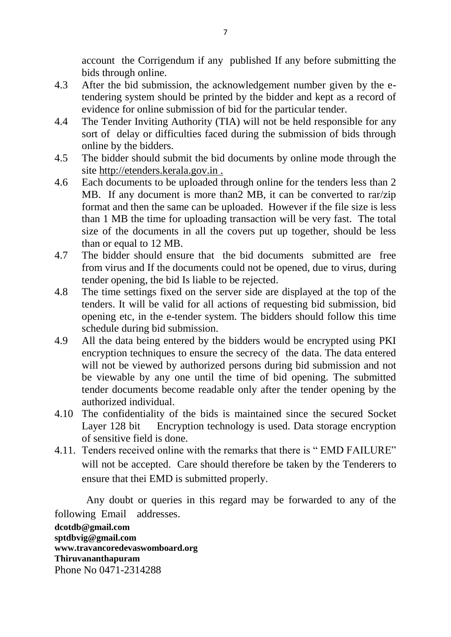account the Corrigendum if any published If any before submitting the bids through online.

- 4.3 After the bid submission, the acknowledgement number given by the etendering system should be printed by the bidder and kept as a record of evidence for online submission of bid for the particular tender.
- 4.4 The Tender Inviting Authority (TIA) will not be held responsible for any sort of delay or difficulties faced during the submission of bids through online by the bidders.
- 4.5 The bidder should submit the bid documents by online mode through the site http://etenders.kerala.gov.in .
- 4.6 Each documents to be uploaded through online for the tenders less than 2 MB. If any document is more than2 MB, it can be converted to rar/zip format and then the same can be uploaded. However if the file size is less than 1 MB the time for uploading transaction will be very fast. The total size of the documents in all the covers put up together, should be less than or equal to 12 MB.
- 4.7 The bidder should ensure that the bid documents submitted are free from virus and If the documents could not be opened, due to virus, during tender opening, the bid Is liable to be rejected.
- 4.8 The time settings fixed on the server side are displayed at the top of the tenders. It will be valid for all actions of requesting bid submission, bid opening etc, in the e-tender system. The bidders should follow this time schedule during bid submission.
- 4.9 All the data being entered by the bidders would be encrypted using PKI encryption techniques to ensure the secrecy of the data. The data entered will not be viewed by authorized persons during bid submission and not be viewable by any one until the time of bid opening. The submitted tender documents become readable only after the tender opening by the authorized individual.
- 4.10 The confidentiality of the bids is maintained since the secured Socket Layer 128 bit Encryption technology is used. Data storage encryption of sensitive field is done.
- 4.11. Tenders received online with the remarks that there is " EMD FAILURE" will not be accepted. Care should therefore be taken by the Tenderers to ensure that thei EMD is submitted properly.

 Any doubt or queries in this regard may be forwarded to any of the following Email addresses.

**dcotdb@gmail.com sptdbvig@gmail.com www.travancoredevaswomboard.org Thiruvananthapuram** Phone No 0471-2314288